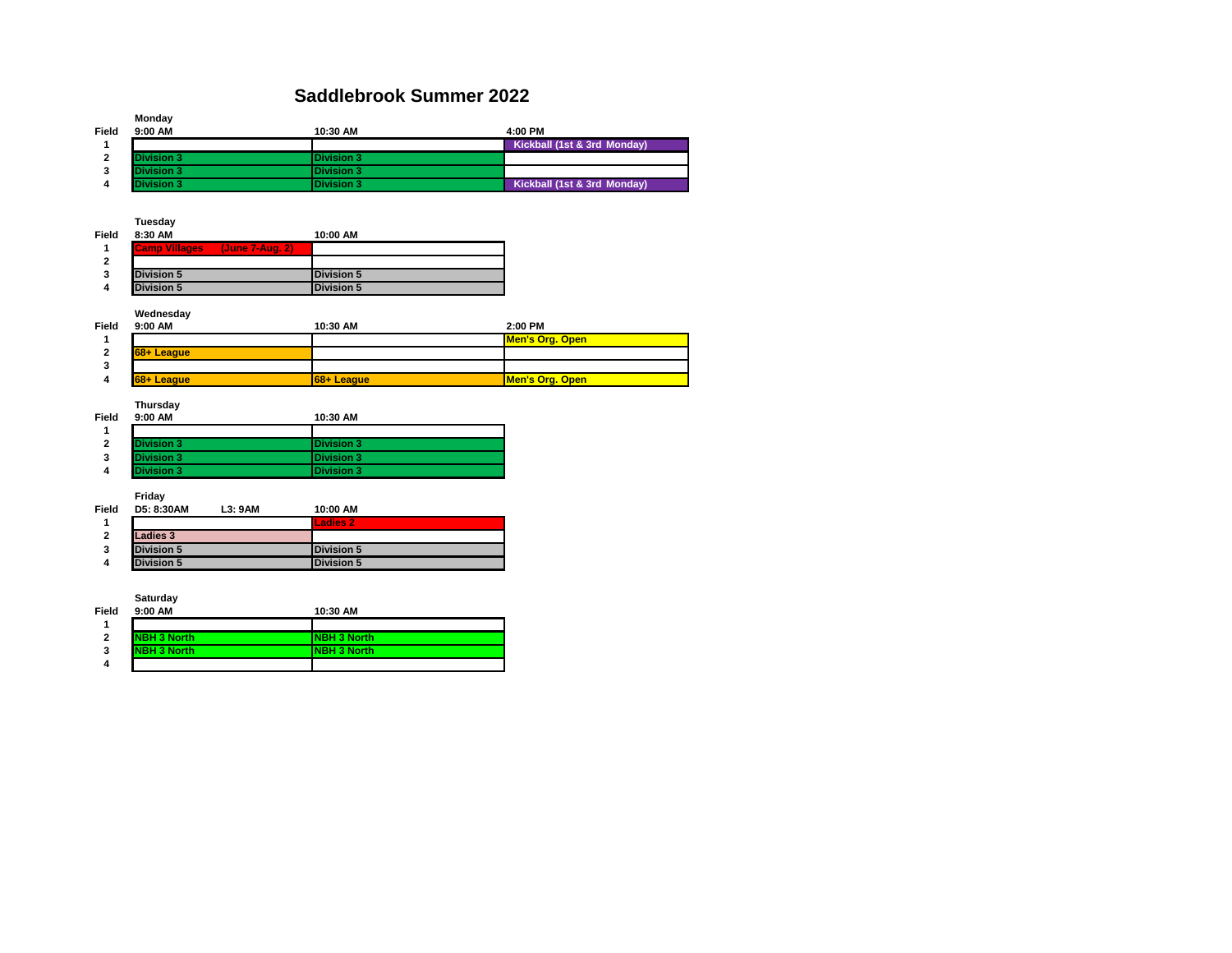#### **Saddlebrook Summer 2022**

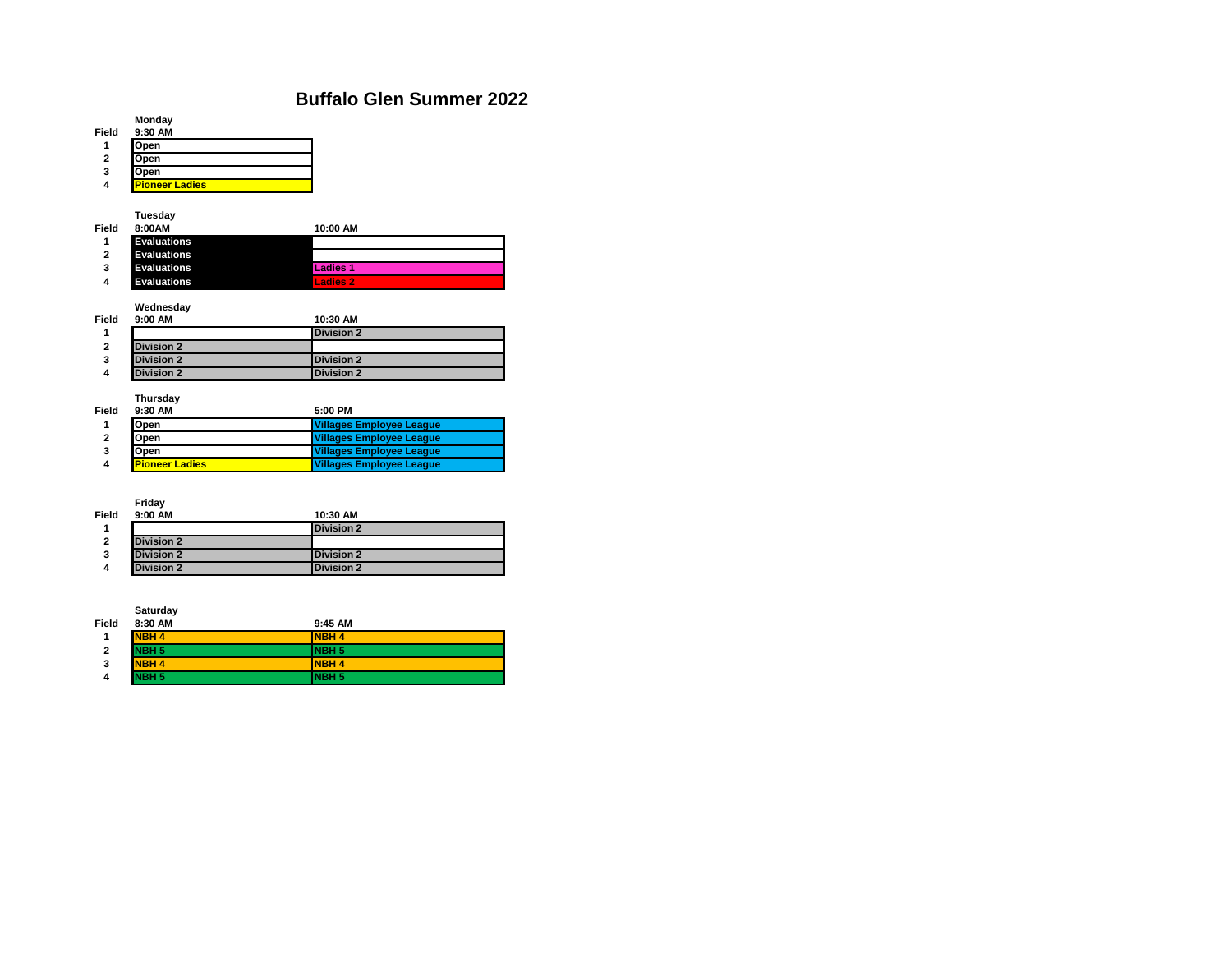#### **Buffalo Glen Summer 2022**



**Saturday**

| Field | 8:30 AM          | 9:45 AM           |
|-------|------------------|-------------------|
|       | <b>NBH4</b>      | <b>INBH4</b>      |
| 2     | NBH <sub>5</sub> | INBH <sub>5</sub> |
| 3     | <b>NBH4</b>      | <b>INBH4</b>      |
| 4     | NBH <sub>5</sub> | <b>INBH 5</b>     |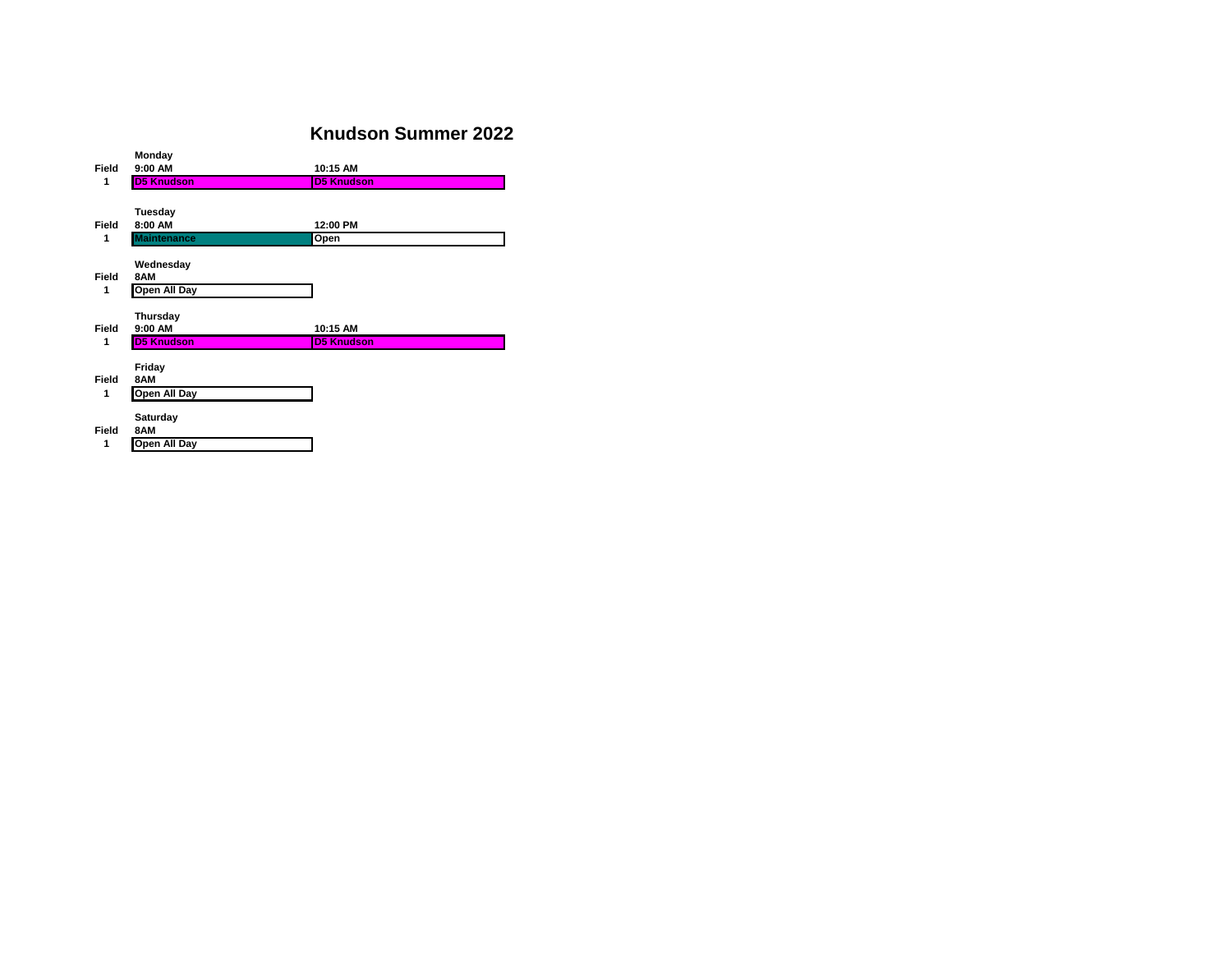### **Knudson Summer 2022**

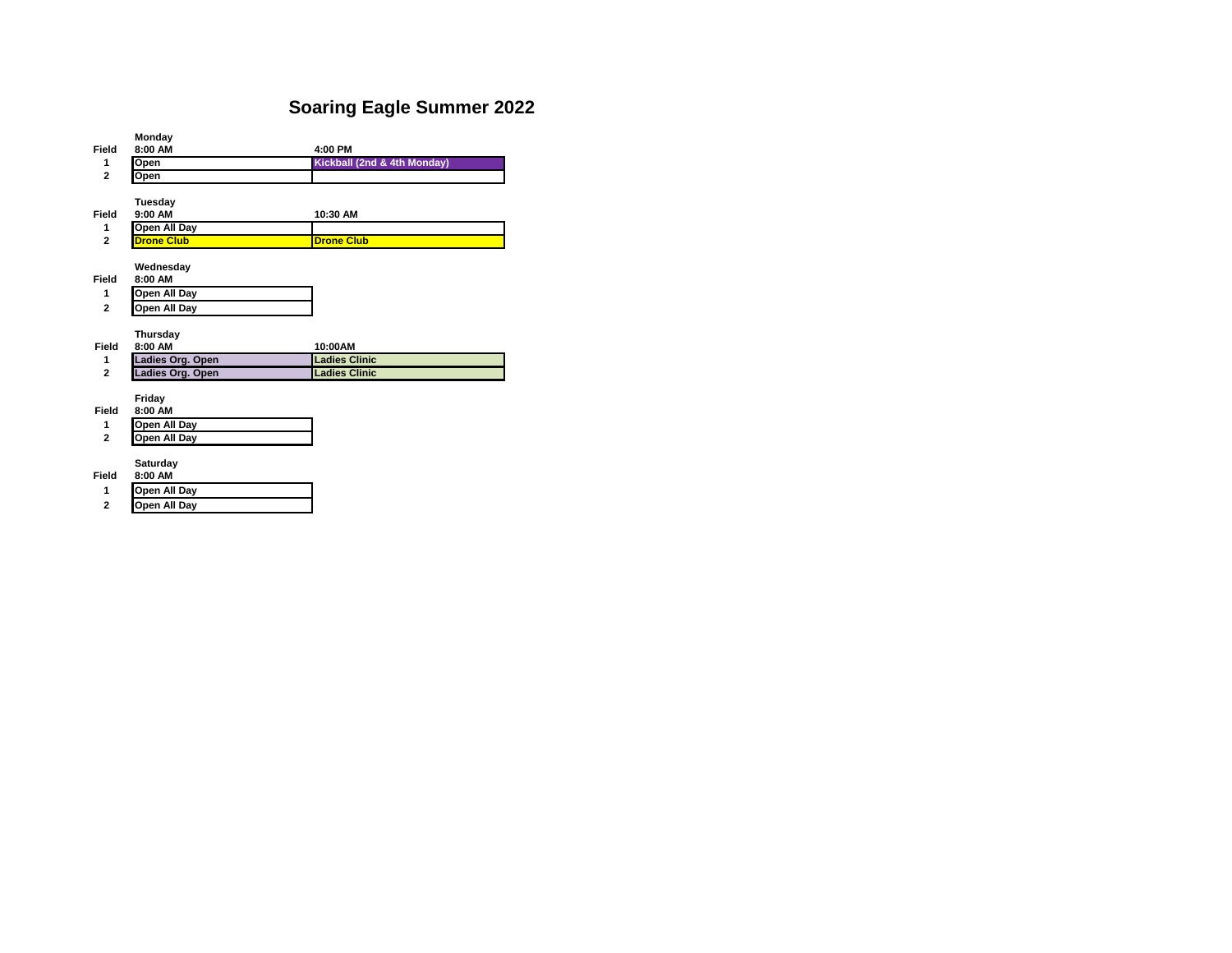## **Soaring Eagle Summer 2022**

|                     | Monday                       |                             |
|---------------------|------------------------------|-----------------------------|
| Field               | 8:00 AM                      | 4:00 PM                     |
| 1                   | Open                         | Kickball (2nd & 4th Monday) |
| $\overline{2}$      | Open                         |                             |
|                     |                              |                             |
|                     | Tuesday                      |                             |
| Field               | 9:00 AM                      | 10:30 AM                    |
| 1                   | Open All Day                 |                             |
| $\overline{2}$      | <b>Drone Club</b>            | <b>Drone Club</b>           |
|                     |                              |                             |
|                     | Wednesdav                    |                             |
| Field               | 8:00 AM                      |                             |
| 1                   | Open All Day                 |                             |
| $\overline{2}$      | Open All Day                 |                             |
|                     |                              |                             |
|                     |                              |                             |
|                     | Thursday                     |                             |
| Field               | 8:00 AM                      | 10:00AM                     |
| 1                   | Ladies Org. Open             | <b>Ladies Clinic</b>        |
| $\overline{2}$      | Ladies Org. Open             | <b>Ladies Clinic</b>        |
|                     |                              |                             |
|                     | Friday                       |                             |
| Field               | 8:00 AM                      |                             |
| 1                   | Open All Day                 |                             |
| $\mathbf{2}$        | Open All Day                 |                             |
|                     |                              |                             |
|                     | Saturday                     |                             |
| Field               | 8:00 AM                      |                             |
| 1<br>$\overline{2}$ | Open All Day<br>Open All Day |                             |